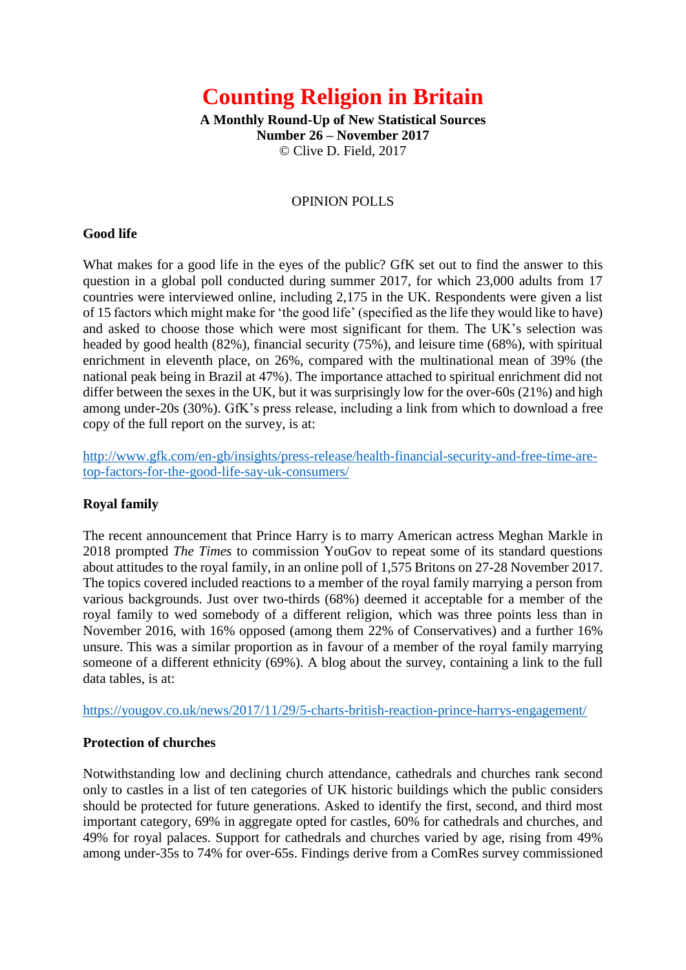# **Counting Religion in Britain**

**A Monthly Round-Up of New Statistical Sources Number 26 – November 2017** © Clive D. Field, 2017

#### OPINION POLLS

#### **Good life**

What makes for a good life in the eyes of the public? GfK set out to find the answer to this question in a global poll conducted during summer 2017, for which 23,000 adults from 17 countries were interviewed online, including 2,175 in the UK. Respondents were given a list of 15 factors which might make for 'the good life' (specified as the life they would like to have) and asked to choose those which were most significant for them. The UK's selection was headed by good health (82%), financial security (75%), and leisure time (68%), with spiritual enrichment in eleventh place, on 26%, compared with the multinational mean of 39% (the national peak being in Brazil at 47%). The importance attached to spiritual enrichment did not differ between the sexes in the UK, but it was surprisingly low for the over-60s (21%) and high among under-20s (30%). GfK's press release, including a link from which to download a free copy of the full report on the survey, is at:

[http://www.gfk.com/en-gb/insights/press-release/health-financial-security-and-free-time-are](http://www.gfk.com/en-gb/insights/press-release/health-financial-security-and-free-time-are-top-factors-for-the-good-life-say-uk-consumers/)[top-factors-for-the-good-life-say-uk-consumers/](http://www.gfk.com/en-gb/insights/press-release/health-financial-security-and-free-time-are-top-factors-for-the-good-life-say-uk-consumers/)

#### **Royal family**

The recent announcement that Prince Harry is to marry American actress Meghan Markle in 2018 prompted *The Times* to commission YouGov to repeat some of its standard questions about attitudes to the royal family, in an online poll of 1,575 Britons on 27-28 November 2017. The topics covered included reactions to a member of the royal family marrying a person from various backgrounds. Just over two-thirds (68%) deemed it acceptable for a member of the royal family to wed somebody of a different religion, which was three points less than in November 2016, with 16% opposed (among them 22% of Conservatives) and a further 16% unsure. This was a similar proportion as in favour of a member of the royal family marrying someone of a different ethnicity (69%). A blog about the survey, containing a link to the full data tables, is at:

<https://yougov.co.uk/news/2017/11/29/5-charts-british-reaction-prince-harrys-engagement/>

#### **Protection of churches**

Notwithstanding low and declining church attendance, cathedrals and churches rank second only to castles in a list of ten categories of UK historic buildings which the public considers should be protected for future generations. Asked to identify the first, second, and third most important category, 69% in aggregate opted for castles, 60% for cathedrals and churches, and 49% for royal palaces. Support for cathedrals and churches varied by age, rising from 49% among under-35s to 74% for over-65s. Findings derive from a ComRes survey commissioned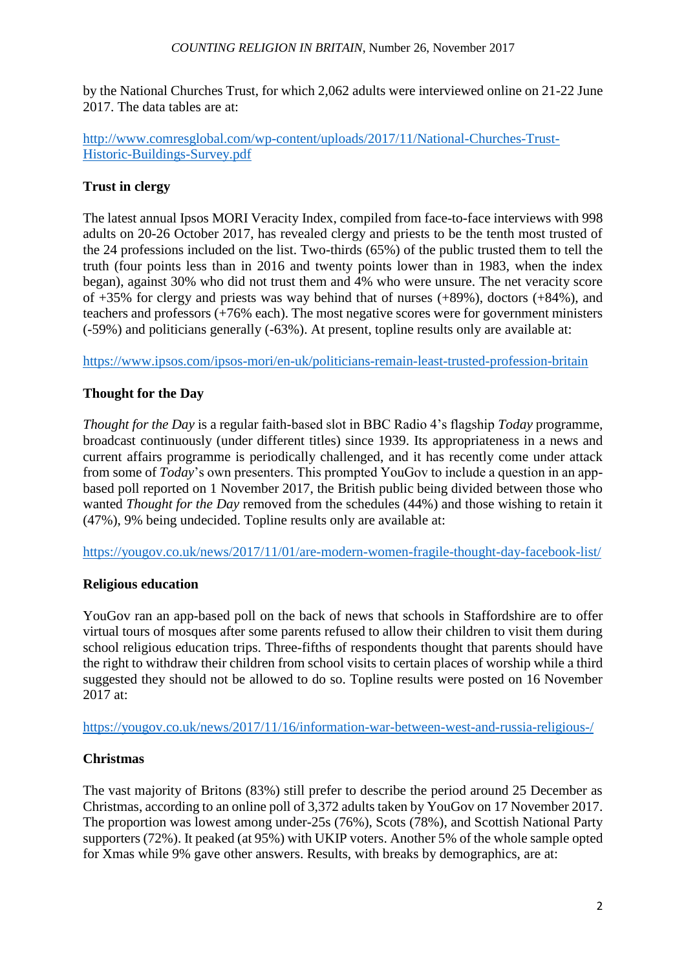by the National Churches Trust, for which 2,062 adults were interviewed online on 21-22 June 2017. The data tables are at:

[http://www.comresglobal.com/wp-content/uploads/2017/11/National-Churches-Trust-](http://www.comresglobal.com/wp-content/uploads/2017/11/National-Churches-Trust-Historic-Buildings-Survey.pdf)[Historic-Buildings-Survey.pdf](http://www.comresglobal.com/wp-content/uploads/2017/11/National-Churches-Trust-Historic-Buildings-Survey.pdf)

## **Trust in clergy**

The latest annual Ipsos MORI Veracity Index, compiled from face-to-face interviews with 998 adults on 20-26 October 2017, has revealed clergy and priests to be the tenth most trusted of the 24 professions included on the list. Two-thirds (65%) of the public trusted them to tell the truth (four points less than in 2016 and twenty points lower than in 1983, when the index began), against 30% who did not trust them and 4% who were unsure. The net veracity score of  $+35\%$  for clergy and priests was way behind that of nurses  $(+89\%)$ , doctors  $(+84\%)$ , and teachers and professors (+76% each). The most negative scores were for government ministers (-59%) and politicians generally (-63%). At present, topline results only are available at:

<https://www.ipsos.com/ipsos-mori/en-uk/politicians-remain-least-trusted-profession-britain>

## **Thought for the Day**

*Thought for the Day* is a regular faith-based slot in BBC Radio 4's flagship *Today* programme, broadcast continuously (under different titles) since 1939. Its appropriateness in a news and current affairs programme is periodically challenged, and it has recently come under attack from some of *Today*'s own presenters. This prompted YouGov to include a question in an appbased poll reported on 1 November 2017, the British public being divided between those who wanted *Thought for the Day* removed from the schedules (44%) and those wishing to retain it (47%), 9% being undecided. Topline results only are available at:

<https://yougov.co.uk/news/2017/11/01/are-modern-women-fragile-thought-day-facebook-list/>

## **Religious education**

YouGov ran an app-based poll on the back of news that schools in Staffordshire are to offer virtual tours of mosques after some parents refused to allow their children to visit them during school religious education trips. Three-fifths of respondents thought that parents should have the right to withdraw their children from school visits to certain places of worship while a third suggested they should not be allowed to do so. Topline results were posted on 16 November 2017 at:

<https://yougov.co.uk/news/2017/11/16/information-war-between-west-and-russia-religious-/>

## **Christmas**

The vast majority of Britons (83%) still prefer to describe the period around 25 December as Christmas, according to an online poll of 3,372 adults taken by YouGov on 17 November 2017. The proportion was lowest among under-25s (76%), Scots (78%), and Scottish National Party supporters (72%). It peaked (at 95%) with UKIP voters. Another 5% of the whole sample opted for Xmas while 9% gave other answers. Results, with breaks by demographics, are at: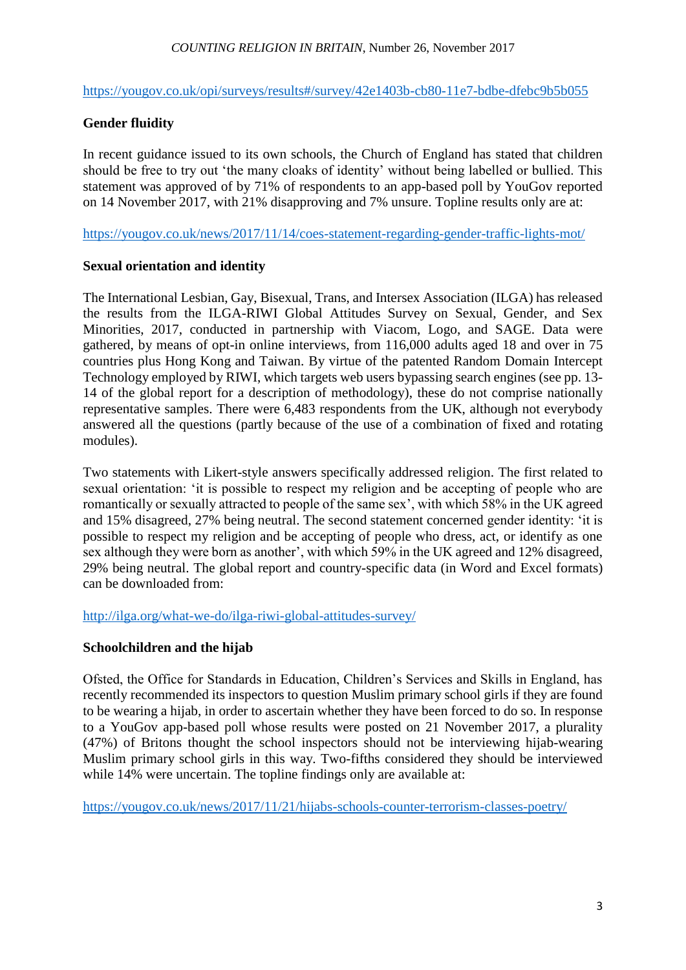<https://yougov.co.uk/opi/surveys/results#/survey/42e1403b-cb80-11e7-bdbe-dfebc9b5b055>

#### **Gender fluidity**

In recent guidance issued to its own schools, the Church of England has stated that children should be free to try out 'the many cloaks of identity' without being labelled or bullied. This statement was approved of by 71% of respondents to an app-based poll by YouGov reported on 14 November 2017, with 21% disapproving and 7% unsure. Topline results only are at:

<https://yougov.co.uk/news/2017/11/14/coes-statement-regarding-gender-traffic-lights-mot/>

#### **Sexual orientation and identity**

The International Lesbian, Gay, Bisexual, Trans, and Intersex Association (ILGA) has released the results from the ILGA-RIWI Global Attitudes Survey on Sexual, Gender, and Sex Minorities, 2017, conducted in partnership with Viacom, Logo, and SAGE. Data were gathered, by means of opt-in online interviews, from 116,000 adults aged 18 and over in 75 countries plus Hong Kong and Taiwan. By virtue of the patented Random Domain Intercept Technology employed by RIWI, which targets web users bypassing search engines (see pp. 13- 14 of the global report for a description of methodology), these do not comprise nationally representative samples. There were 6,483 respondents from the UK, although not everybody answered all the questions (partly because of the use of a combination of fixed and rotating modules).

Two statements with Likert-style answers specifically addressed religion. The first related to sexual orientation: 'it is possible to respect my religion and be accepting of people who are romantically or sexually attracted to people of the same sex', with which 58% in the UK agreed and 15% disagreed, 27% being neutral. The second statement concerned gender identity: 'it is possible to respect my religion and be accepting of people who dress, act, or identify as one sex although they were born as another', with which 59% in the UK agreed and 12% disagreed, 29% being neutral. The global report and country-specific data (in Word and Excel formats) can be downloaded from:

<http://ilga.org/what-we-do/ilga-riwi-global-attitudes-survey/>

#### **Schoolchildren and the hijab**

Ofsted, the Office for Standards in Education, Children's Services and Skills in England, has recently recommended its inspectors to question Muslim primary school girls if they are found to be wearing a hijab, in order to ascertain whether they have been forced to do so. In response to a YouGov app-based poll whose results were posted on 21 November 2017, a plurality (47%) of Britons thought the school inspectors should not be interviewing hijab-wearing Muslim primary school girls in this way. Two-fifths considered they should be interviewed while 14% were uncertain. The topline findings only are available at:

<https://yougov.co.uk/news/2017/11/21/hijabs-schools-counter-terrorism-classes-poetry/>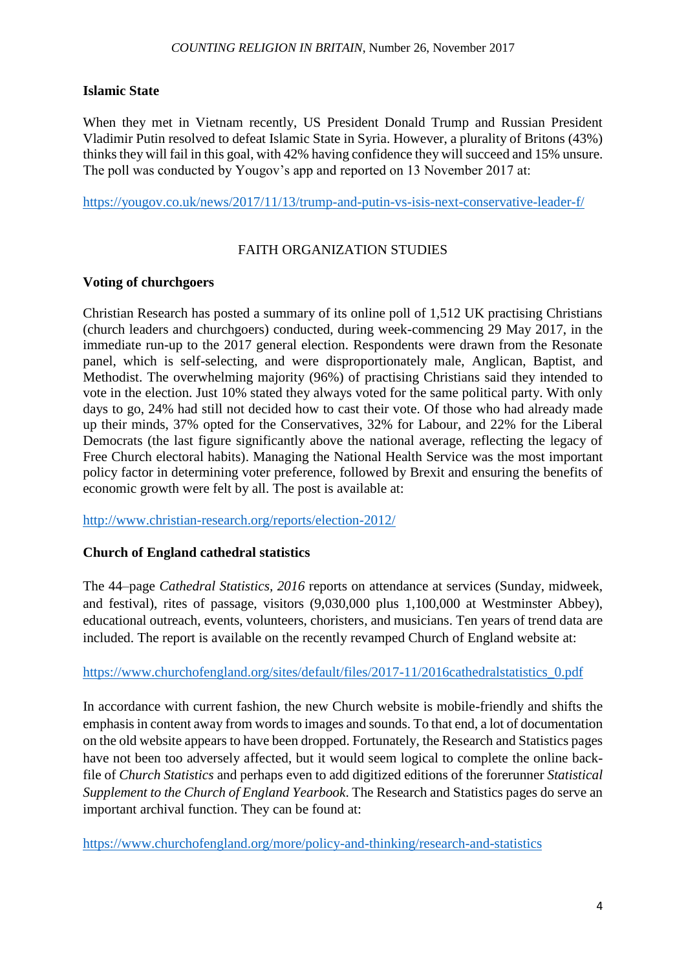## **Islamic State**

When they met in Vietnam recently, US President Donald Trump and Russian President Vladimir Putin resolved to defeat Islamic State in Syria. However, a plurality of Britons (43%) thinks they will fail in this goal, with 42% having confidence they will succeed and 15% unsure. The poll was conducted by Yougov's app and reported on 13 November 2017 at:

<https://yougov.co.uk/news/2017/11/13/trump-and-putin-vs-isis-next-conservative-leader-f/>

# FAITH ORGANIZATION STUDIES

#### **Voting of churchgoers**

Christian Research has posted a summary of its online poll of 1,512 UK practising Christians (church leaders and churchgoers) conducted, during week-commencing 29 May 2017, in the immediate run-up to the 2017 general election. Respondents were drawn from the Resonate panel, which is self-selecting, and were disproportionately male, Anglican, Baptist, and Methodist. The overwhelming majority (96%) of practising Christians said they intended to vote in the election. Just 10% stated they always voted for the same political party. With only days to go, 24% had still not decided how to cast their vote. Of those who had already made up their minds, 37% opted for the Conservatives, 32% for Labour, and 22% for the Liberal Democrats (the last figure significantly above the national average, reflecting the legacy of Free Church electoral habits). Managing the National Health Service was the most important policy factor in determining voter preference, followed by Brexit and ensuring the benefits of economic growth were felt by all. The post is available at:

<http://www.christian-research.org/reports/election-2012/>

## **Church of England cathedral statistics**

The 44–page *Cathedral Statistics, 2016* reports on attendance at services (Sunday, midweek, and festival), rites of passage, visitors (9,030,000 plus 1,100,000 at Westminster Abbey), educational outreach, events, volunteers, choristers, and musicians. Ten years of trend data are included. The report is available on the recently revamped Church of England website at:

## [https://www.churchofengland.org/sites/default/files/2017-11/2016cathedralstatistics\\_0.pdf](https://www.churchofengland.org/sites/default/files/2017-11/2016cathedralstatistics_0.pdf)

In accordance with current fashion, the new Church website is mobile-friendly and shifts the emphasis in content away from words to images and sounds. To that end, a lot of documentation on the old website appears to have been dropped. Fortunately, the Research and Statistics pages have not been too adversely affected, but it would seem logical to complete the online backfile of *Church Statistics* and perhaps even to add digitized editions of the forerunner *Statistical Supplement to the Church of England Yearbook*. The Research and Statistics pages do serve an important archival function. They can be found at:

<https://www.churchofengland.org/more/policy-and-thinking/research-and-statistics>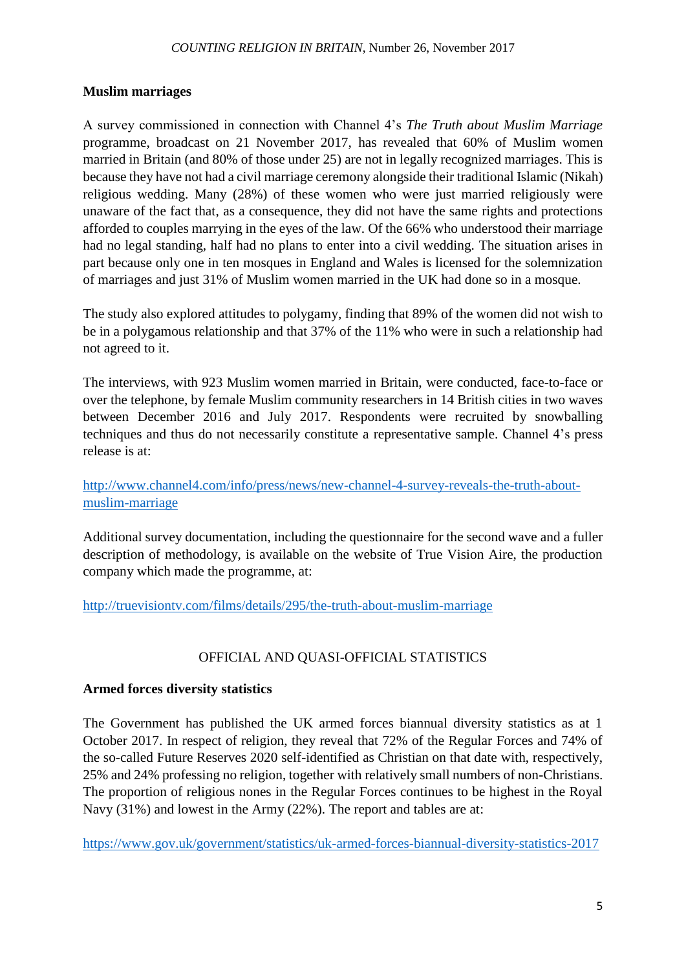## **Muslim marriages**

A survey commissioned in connection with Channel 4's *The Truth about Muslim Marriage* programme, broadcast on 21 November 2017, has revealed that 60% of Muslim women married in Britain (and 80% of those under 25) are not in legally recognized marriages. This is because they have not had a civil marriage ceremony alongside their traditional Islamic (Nikah) religious wedding. Many (28%) of these women who were just married religiously were unaware of the fact that, as a consequence, they did not have the same rights and protections afforded to couples marrying in the eyes of the law. Of the 66% who understood their marriage had no legal standing, half had no plans to enter into a civil wedding. The situation arises in part because only one in ten mosques in England and Wales is licensed for the solemnization of marriages and just 31% of Muslim women married in the UK had done so in a mosque.

The study also explored attitudes to polygamy, finding that 89% of the women did not wish to be in a polygamous relationship and that 37% of the 11% who were in such a relationship had not agreed to it.

The interviews, with 923 Muslim women married in Britain, were conducted, face-to-face or over the telephone, by female Muslim community researchers in 14 British cities in two waves between December 2016 and July 2017. Respondents were recruited by snowballing techniques and thus do not necessarily constitute a representative sample. Channel 4's press release is at:

# [http://www.channel4.com/info/press/news/new-channel-4-survey-reveals-the-truth-about](http://www.channel4.com/info/press/news/new-channel-4-survey-reveals-the-truth-about-muslim-marriage)[muslim-marriage](http://www.channel4.com/info/press/news/new-channel-4-survey-reveals-the-truth-about-muslim-marriage)

Additional survey documentation, including the questionnaire for the second wave and a fuller description of methodology, is available on the website of True Vision Aire, the production company which made the programme, at:

<http://truevisiontv.com/films/details/295/the-truth-about-muslim-marriage>

# OFFICIAL AND QUASI-OFFICIAL STATISTICS

## **Armed forces diversity statistics**

The Government has published the UK armed forces biannual diversity statistics as at 1 October 2017. In respect of religion, they reveal that 72% of the Regular Forces and 74% of the so-called Future Reserves 2020 self-identified as Christian on that date with, respectively, 25% and 24% professing no religion, together with relatively small numbers of non-Christians. The proportion of religious nones in the Regular Forces continues to be highest in the Royal Navy (31%) and lowest in the Army (22%). The report and tables are at:

<https://www.gov.uk/government/statistics/uk-armed-forces-biannual-diversity-statistics-2017>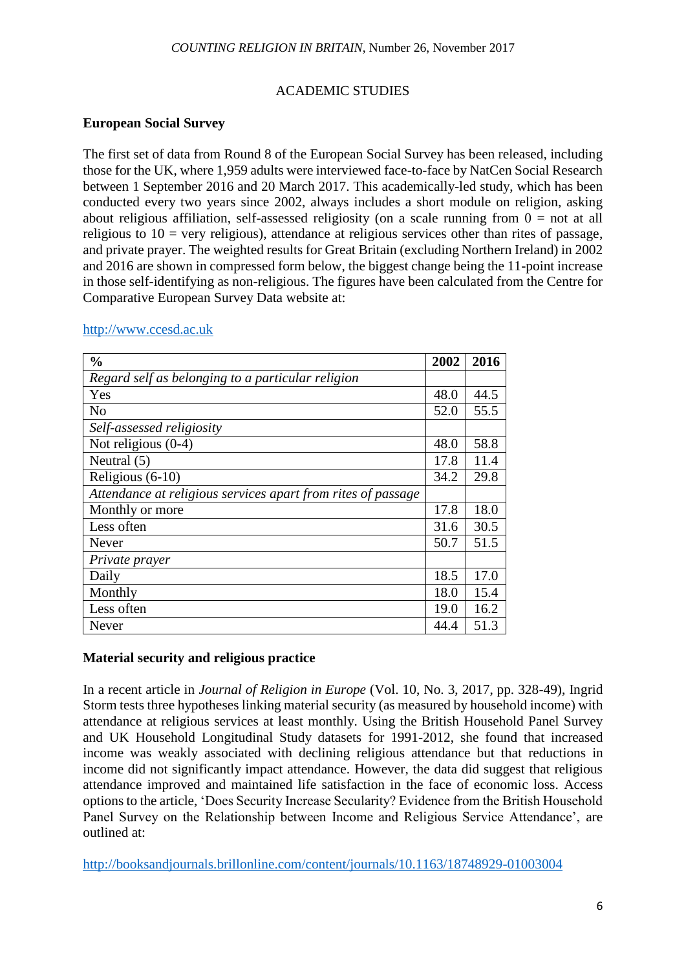#### ACADEMIC STUDIES

#### **European Social Survey**

The first set of data from Round 8 of the European Social Survey has been released, including those for the UK, where 1,959 adults were interviewed face-to-face by NatCen Social Research between 1 September 2016 and 20 March 2017. This academically-led study, which has been conducted every two years since 2002, always includes a short module on religion, asking about religious affiliation, self-assessed religiosity (on a scale running from  $0 =$  not at all religious to  $10 =$  very religious), attendance at religious services other than rites of passage, and private prayer. The weighted results for Great Britain (excluding Northern Ireland) in 2002 and 2016 are shown in compressed form below, the biggest change being the 11-point increase in those self-identifying as non-religious. The figures have been calculated from the Centre for Comparative European Survey Data website at:

| $\frac{0}{0}$                                                | 2002 | 2016 |
|--------------------------------------------------------------|------|------|
| Regard self as belonging to a particular religion            |      |      |
| Yes                                                          | 48.0 | 44.5 |
| N <sub>0</sub>                                               | 52.0 | 55.5 |
| Self-assessed religiosity                                    |      |      |
| Not religious $(0-4)$                                        | 48.0 | 58.8 |
| Neutral $(5)$                                                | 17.8 | 11.4 |
| Religious (6-10)                                             | 34.2 | 29.8 |
| Attendance at religious services apart from rites of passage |      |      |
| Monthly or more                                              | 17.8 | 18.0 |
| Less often                                                   | 31.6 | 30.5 |
| Never                                                        | 50.7 | 51.5 |
| Private prayer                                               |      |      |
| Daily                                                        | 18.5 | 17.0 |
| Monthly                                                      | 18.0 | 15.4 |
| Less often                                                   | 19.0 | 16.2 |
| Never                                                        | 44.4 | 51.3 |

[http://www.ccesd.ac.uk](http://www.ccesd.ac.uk/)

## **Material security and religious practice**

In a recent article in *Journal of Religion in Europe* (Vol. 10, No. 3, 2017, pp. 328-49), Ingrid Storm tests three hypotheses linking material security (as measured by household income) with attendance at religious services at least monthly. Using the British Household Panel Survey and UK Household Longitudinal Study datasets for 1991-2012, she found that increased income was weakly associated with declining religious attendance but that reductions in income did not significantly impact attendance. However, the data did suggest that religious attendance improved and maintained life satisfaction in the face of economic loss. Access options to the article, 'Does Security Increase Secularity? Evidence from the British Household Panel Survey on the Relationship between Income and Religious Service Attendance', are outlined at:

<http://booksandjournals.brillonline.com/content/journals/10.1163/18748929-01003004>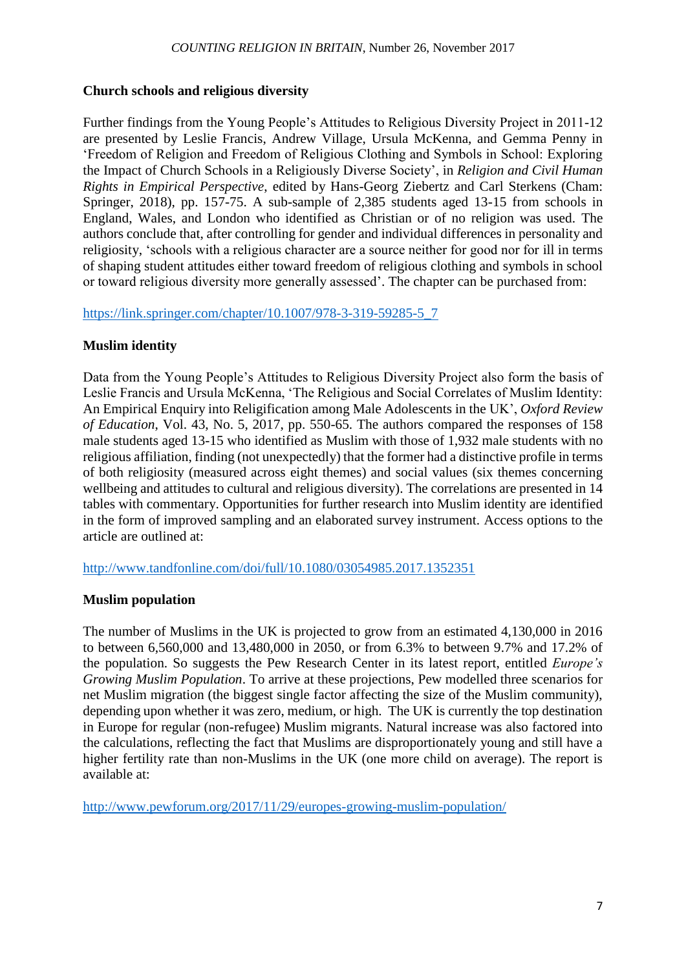#### **Church schools and religious diversity**

Further findings from the Young People's Attitudes to Religious Diversity Project in 2011-12 are presented by Leslie Francis, Andrew Village, Ursula McKenna, and Gemma Penny in 'Freedom of Religion and Freedom of Religious Clothing and Symbols in School: Exploring the Impact of Church Schools in a Religiously Diverse Society', in *Religion and Civil Human Rights in Empirical Perspective*, edited by Hans-Georg Ziebertz and Carl Sterkens (Cham: Springer, 2018), pp. 157-75. A sub-sample of 2,385 students aged 13-15 from schools in England, Wales, and London who identified as Christian or of no religion was used. The authors conclude that, after controlling for gender and individual differences in personality and religiosity, 'schools with a religious character are a source neither for good nor for ill in terms of shaping student attitudes either toward freedom of religious clothing and symbols in school or toward religious diversity more generally assessed'. The chapter can be purchased from:

[https://link.springer.com/chapter/10.1007/978-3-319-59285-5\\_7](https://link.springer.com/chapter/10.1007/978-3-319-59285-5_7)

## **Muslim identity**

Data from the Young People's Attitudes to Religious Diversity Project also form the basis of Leslie Francis and Ursula McKenna, 'The Religious and Social Correlates of Muslim Identity: An Empirical Enquiry into Religification among Male Adolescents in the UK', *Oxford Review of Education*, Vol. 43, No. 5, 2017, pp. 550-65. The authors compared the responses of 158 male students aged 13-15 who identified as Muslim with those of 1,932 male students with no religious affiliation, finding (not unexpectedly) that the former had a distinctive profile in terms of both religiosity (measured across eight themes) and social values (six themes concerning wellbeing and attitudes to cultural and religious diversity). The correlations are presented in 14 tables with commentary. Opportunities for further research into Muslim identity are identified in the form of improved sampling and an elaborated survey instrument. Access options to the article are outlined at:

<http://www.tandfonline.com/doi/full/10.1080/03054985.2017.1352351>

## **Muslim population**

The number of Muslims in the UK is projected to grow from an estimated 4,130,000 in 2016 to between 6,560,000 and 13,480,000 in 2050, or from 6.3% to between 9.7% and 17.2% of the population. So suggests the Pew Research Center in its latest report, entitled *Europe's Growing Muslim Population*. To arrive at these projections, Pew modelled three scenarios for net Muslim migration (the biggest single factor affecting the size of the Muslim community), depending upon whether it was zero, medium, or high. The UK is currently the top destination in Europe for regular (non-refugee) Muslim migrants. Natural increase was also factored into the calculations, reflecting the fact that Muslims are disproportionately young and still have a higher fertility rate than non-Muslims in the UK (one more child on average). The report is available at:

<http://www.pewforum.org/2017/11/29/europes-growing-muslim-population/>